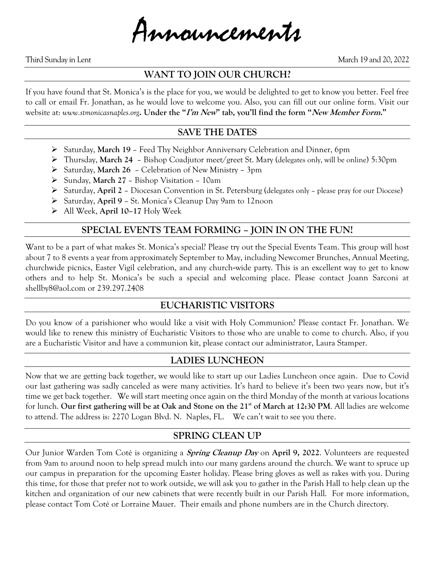

Third Sunday in Lent March 19 and 20, 2022

#### **WANT TO JOIN OUR CHURCH?**

If you have found that St. Monica's is the place for you, we would be delighted to get to know you better. Feel free to call or email Fr. Jonathan, as he would love to welcome you. Also, you can fill out our online form. Visit our website at: *www.stmonicasnaples.org***. Under the "I'm New" tab, you'll find the form "New Member Form."**

#### **SAVE THE DATES**

- ➢ Saturday, **March 19** Feed Thy Neighbor Anniversary Celebration and Dinner, 6pm
- ➢ Thursday, **March 24** Bishop Coadjutor meet/greet St. Mary (delegates only, will be online) 5:30pm
- ➢ Saturday, **March 26** Celebration of New Ministry 3pm
- ➢ Sunday, **March 27** Bishop Visitation 10am
- ➢ Saturday, **April 2** Diocesan Convention in St. Petersburg (delegates only please pray for our Diocese)
- ➢ Saturday, **April 9** St. Monica's Cleanup Day 9am to 12noon
- ➢ All Week, **April 10–17** Holy Week

## **SPECIAL EVENTS TEAM FORMING – JOIN IN ON THE FUN!**

Want to be a part of what makes St. Monica's special? Please try out the Special Events Team. This group will host about 7 to 8 events a year from approximately September to May, including Newcomer Brunches, Annual Meeting, churchwide picnics, Easter Vigil celebration, and any church-wide party. This is an excellent way to get to know others and to help St. Monica's be such a special and welcoming place. Please contact Joann Sarconi at shellby8@aol.com or 239.297.2408

## **EUCHARISTIC VISITORS**

Do you know of a parishioner who would like a visit with Holy Communion? Please contact Fr. Jonathan. We would like to renew this ministry of Eucharistic Visitors to those who are unable to come to church. Also, if you are a Eucharistic Visitor and have a communion kit, please contact our administrator, Laura Stamper.

## **LADIES LUNCHEON**

Now that we are getting back together, we would like to start up our Ladies Luncheon once again. Due to Covid our last gathering was sadly canceled as were many activities. It's hard to believe it's been two years now, but it's time we get back together. We will start meeting once again on the third Monday of the month at various locations for lunch. **Our first gathering will be at Oak and Stone on the 21st of March at 12:30 PM**. All ladies are welcome to attend. The address is: 2270 Logan Blvd. N. Naples, FL. We can't wait to see you there.

## **SPRING CLEAN UP**

Our Junior Warden Tom Coté is organizing a **Spring Cleanup Day** on **April 9, 2022**. Volunteers are requested from 9am to around noon to help spread mulch into our many gardens around the church. We want to spruce up our campus in preparation for the upcoming Easter holiday. Please bring gloves as well as rakes with you. During this time, for those that prefer not to work outside, we will ask you to gather in the Parish Hall to help clean up the kitchen and organization of our new cabinets that were recently built in our Parish Hall. For more information, please contact Tom Coté or Lorraine Mauer. Their emails and phone numbers are in the Church directory.